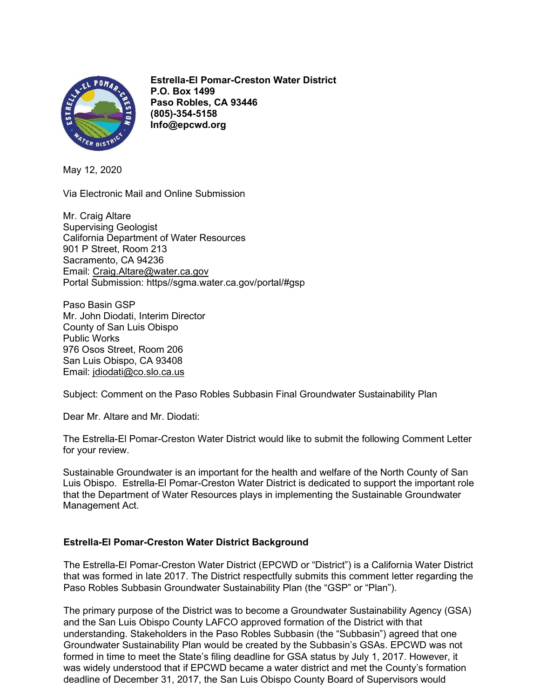

 Estrella-El Pomar-Creston Water District P.O. Box 1499 Paso Robles, CA 93446 (805)-354-5158 Info@epcwd.org

May 12, 2020

Via Electronic Mail and Online Submission

Mr. Craig Altare Supervising Geologist California Department of Water Resources 901 P Street, Room 213 Sacramento, CA 94236 Email: Craig.Altare@water.ca.gov Portal Submission: https//sgma.water.ca.gov/portal/#gsp

Paso Basin GSP Mr. John Diodati, Interim Director County of San Luis Obispo Public Works 976 Osos Street, Room 206 San Luis Obispo, CA 93408 Email: jdiodati@co.slo.ca.us

Subject: Comment on the Paso Robles Subbasin Final Groundwater Sustainability Plan

Dear Mr. Altare and Mr. Diodati:

The Estrella-El Pomar-Creston Water District would like to submit the following Comment Letter for your review.

Sustainable Groundwater is an important for the health and welfare of the North County of San Luis Obispo. Estrella-El Pomar-Creston Water District is dedicated to support the important role that the Department of Water Resources plays in implementing the Sustainable Groundwater Management Act.

# Estrella-El Pomar-Creston Water District Background

The Estrella-El Pomar-Creston Water District (EPCWD or "District") is a California Water District that was formed in late 2017. The District respectfully submits this comment letter regarding the Paso Robles Subbasin Groundwater Sustainability Plan (the "GSP" or "Plan").

The primary purpose of the District was to become a Groundwater Sustainability Agency (GSA) and the San Luis Obispo County LAFCO approved formation of the District with that understanding. Stakeholders in the Paso Robles Subbasin (the "Subbasin") agreed that one Groundwater Sustainability Plan would be created by the Subbasin's GSAs. EPCWD was not formed in time to meet the State's filing deadline for GSA status by July 1, 2017. However, it was widely understood that if EPCWD became a water district and met the County's formation deadline of December 31, 2017, the San Luis Obispo County Board of Supervisors would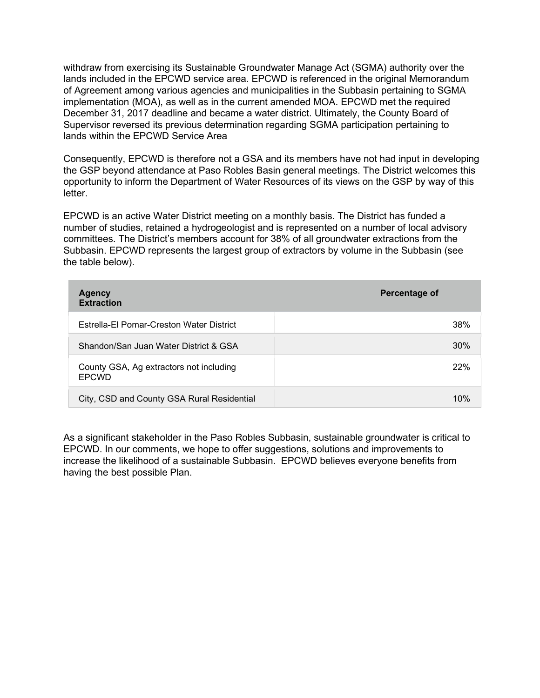withdraw from exercising its Sustainable Groundwater Manage Act (SGMA) authority over the lands included in the EPCWD service area. EPCWD is referenced in the original Memorandum of Agreement among various agencies and municipalities in the Subbasin pertaining to SGMA implementation (MOA), as well as in the current amended MOA. EPCWD met the required December 31, 2017 deadline and became a water district. Ultimately, the County Board of Supervisor reversed its previous determination regarding SGMA participation pertaining to lands within the EPCWD Service Area

Consequently, EPCWD is therefore not a GSA and its members have not had input in developing the GSP beyond attendance at Paso Robles Basin general meetings. The District welcomes this opportunity to inform the Department of Water Resources of its views on the GSP by way of this letter.

EPCWD is an active Water District meeting on a monthly basis. The District has funded a number of studies, retained a hydrogeologist and is represented on a number of local advisory committees. The District's members account for 38% of all groundwater extractions from the Subbasin. EPCWD represents the largest group of extractors by volume in the Subbasin (see the table below).

| <b>Agency</b><br><b>Extraction</b>                      | <b>Percentage of</b> |
|---------------------------------------------------------|----------------------|
| Estrella-El Pomar-Creston Water District                | 38%                  |
| Shandon/San Juan Water District & GSA                   | 30%                  |
| County GSA, Ag extractors not including<br><b>EPCWD</b> | 22%                  |
| City, CSD and County GSA Rural Residential              | 10%                  |

As a significant stakeholder in the Paso Robles Subbasin, sustainable groundwater is critical to EPCWD. In our comments, we hope to offer suggestions, solutions and improvements to increase the likelihood of a sustainable Subbasin. EPCWD believes everyone benefits from having the best possible Plan.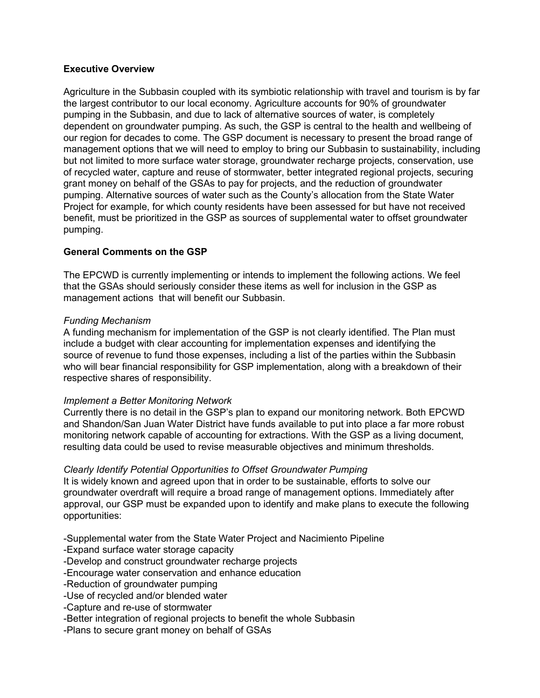# Executive Overview

Agriculture in the Subbasin coupled with its symbiotic relationship with travel and tourism is by far the largest contributor to our local economy. Agriculture accounts for 90% of groundwater pumping in the Subbasin, and due to lack of alternative sources of water, is completely dependent on groundwater pumping. As such, the GSP is central to the health and wellbeing of our region for decades to come. The GSP document is necessary to present the broad range of management options that we will need to employ to bring our Subbasin to sustainability, including but not limited to more surface water storage, groundwater recharge projects, conservation, use of recycled water, capture and reuse of stormwater, better integrated regional projects, securing grant money on behalf of the GSAs to pay for projects, and the reduction of groundwater pumping. Alternative sources of water such as the County's allocation from the State Water Project for example, for which county residents have been assessed for but have not received benefit, must be prioritized in the GSP as sources of supplemental water to offset groundwater pumping.

## General Comments on the GSP

The EPCWD is currently implementing or intends to implement the following actions. We feel that the GSAs should seriously consider these items as well for inclusion in the GSP as management actions that will benefit our Subbasin.

## Funding Mechanism

A funding mechanism for implementation of the GSP is not clearly identified. The Plan must include a budget with clear accounting for implementation expenses and identifying the source of revenue to fund those expenses, including a list of the parties within the Subbasin who will bear financial responsibility for GSP implementation, along with a breakdown of their respective shares of responsibility.

#### Implement a Better Monitoring Network

Currently there is no detail in the GSP's plan to expand our monitoring network. Both EPCWD and Shandon/San Juan Water District have funds available to put into place a far more robust monitoring network capable of accounting for extractions. With the GSP as a living document, resulting data could be used to revise measurable objectives and minimum thresholds.

#### Clearly Identify Potential Opportunities to Offset Groundwater Pumping

It is widely known and agreed upon that in order to be sustainable, efforts to solve our groundwater overdraft will require a broad range of management options. Immediately after approval, our GSP must be expanded upon to identify and make plans to execute the following opportunities:

-Supplemental water from the State Water Project and Nacimiento Pipeline

-Expand surface water storage capacity

-Develop and construct groundwater recharge projects

-Encourage water conservation and enhance education

-Reduction of groundwater pumping

-Use of recycled and/or blended water

-Capture and re-use of stormwater

-Better integration of regional projects to benefit the whole Subbasin

-Plans to secure grant money on behalf of GSAs